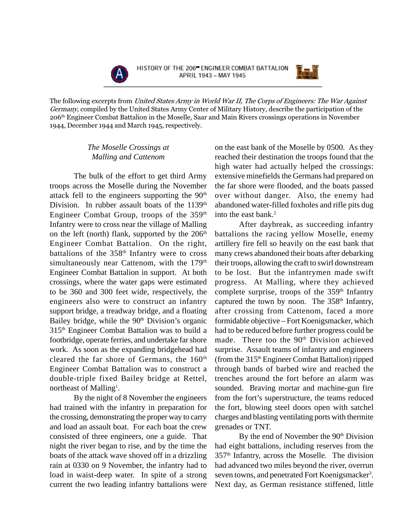

HISTORY OF THE 206 ENGINEER COMBAT BATTALION APRIL 1943 - MAY 1945



The following excerpts from *United States Army in World War II, The Corps of Engineers: The War Against Germany*, compiled by the United States Army Center of Military History, describe the participation of the 206 $^{\rm th}$  Engineer Combat Battalion in the Moselle, Saar and Main Rivers crossings operations in November 1944, December 1944 and March 1945, respectively.

## *The Moselle Crossings at Malling and Cattenom*

The bulk of the effort to get third Army troops across the Moselle during the November attack fell to the engineers supporting the 90<sup>th</sup> Division. In rubber assault boats of the 1139<sup>th</sup> Engineer Combat Group, troops of the 359<sup>th</sup> Infantry were to cross near the village of Malling on the left (north) flank, supported by the  $206<sup>th</sup>$ Engineer Combat Battalion. On the right, battalions of the 358<sup>th</sup> Infantry were to cross simultaneously near Cattenom, with the 179<sup>th</sup> Engineer Combat Battalion in support. At both crossings, where the water gaps were estimated to be 360 and 300 feet wide, respectively, the engineers also were to construct an infantry support bridge, a treadway bridge, and a floating Bailey bridge, while the  $90<sup>th</sup>$  Division's organic 315th Engineer Combat Battalion was to build a footbridge, operate ferries, and undertake far shore work. As soon as the expanding bridgehead had cleared the far shore of Germans, the  $160<sup>th</sup>$ Engineer Combat Battalion was to construct a double-triple fixed Bailey bridge at Rettel, northeast of Malling<sup>1</sup>.

By the night of 8 November the engineers had trained with the infantry in preparation for the crossing, demonstrating the proper way to carry and load an assault boat. For each boat the crew consisted of three engineers, one a guide. That night the river began to rise, and by the time the boats of the attack wave shoved off in a drizzling rain at 0330 on 9 November, the infantry had to load in waist-deep water. In spite of a strong current the two leading infantry battalions were on the east bank of the Moselle by 0500. As they reached their destination the troops found that the high water had actually helped the crossings: extensive minefields the Germans had prepared on the far shore were flooded, and the boats passed over without danger. Also, the enemy had abandoned water-filled foxholes and rifle pits dug into the east bank. $2$ 

After daybreak, as succeeding infantry battalions the racing yellow Moselle, enemy artillery fire fell so heavily on the east bank that many crews abandoned their boats after debarking their troops, allowing the craft to swirl downstream to be lost. But the infantrymen made swift progress. At Malling, where they achieved complete surprise, troops of the 359<sup>th</sup> Infantry captured the town by noon. The 358<sup>th</sup> Infantry, after crossing from Cattenom, faced a more formidable objective – Fort Koenigsmacker, which had to be reduced before further progress could be made. There too the 90<sup>th</sup> Division achieved surprise. Assault teams of infantry and engineers (from the 315th Engineer Combat Battalion) ripped through bands of barbed wire and reached the trenches around the fort before an alarm was sounded. Braving mortar and machine-gun fire from the fort's superstructure, the teams reduced the fort, blowing steel doors open with satchel charges and blasting ventilating ports with thermite grenades or TNT.

By the end of November the 90<sup>th</sup> Division had eight battalions, including reserves from the  $357<sup>th</sup>$  Infantry, across the Moselle. The division had advanced two miles beyond the river, overrun seven towns, and penetrated Fort Koenigsmacker<sup>3</sup>. Next day, as German resistance stiffened, little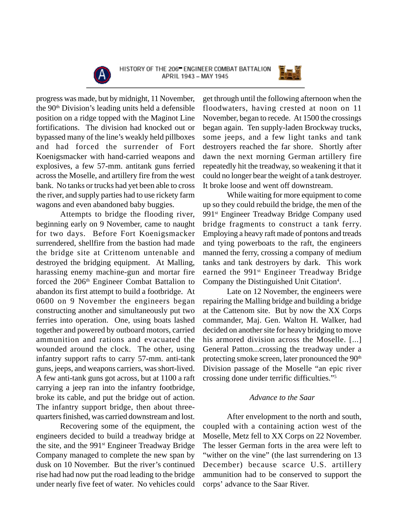



progress was made, but by midnight, 11 November, the 90th Division's leading units held a defensible position on a ridge topped with the Maginot Line fortifications. The division had knocked out or bypassed many of the line's weakly held pillboxes and had forced the surrender of Fort Koenigsmacker with hand-carried weapons and explosives, a few 57-mm. antitank guns ferried across the Moselle, and artillery fire from the west bank. No tanks or trucks had yet been able to cross the river, and supply parties had to use rickety farm wagons and even abandoned baby buggies.

Attempts to bridge the flooding river, beginning early on 9 November, came to naught for two days. Before Fort Koenigsmacker surrendered, shellfire from the bastion had made the bridge site at Crittenom untenable and destroyed the bridging equipment. At Malling, harassing enemy machine-gun and mortar fire forced the 206<sup>th</sup> Engineer Combat Battalion to abandon its first attempt to build a footbridge. At 0600 on 9 November the engineers began constructing another and simultaneously put two ferries into operation. One, using boats lashed together and powered by outboard motors, carried ammunition and rations and evacuated the wounded around the clock. The other, using infantry support rafts to carry 57-mm. anti-tank guns, jeeps, and weapons carriers, was short-lived. A few anti-tank guns got across, but at 1100 a raft carrying a jeep ran into the infantry footbridge, broke its cable, and put the bridge out of action. The infantry support bridge, then about threequarters finished, was carried downstream and lost.

Recovering some of the equipment, the engineers decided to build a treadway bridge at the site, and the 991<sup>st</sup> Engineer Treadway Bridge Company managed to complete the new span by dusk on 10 November. But the river's continued rise had had now put the road leading to the bridge under nearly five feet of water. No vehicles could

get through until the following afternoon when the floodwaters, having crested at noon on 11 November, began to recede. At 1500 the crossings began again. Ten supply-laden Brockway trucks, some jeeps, and a few light tanks and tank destroyers reached the far shore. Shortly after dawn the next morning German artillery fire repeatedly hit the treadway, so weakening it that it could no longer bear the weight of a tank destroyer. It broke loose and went off downstream.

While waiting for more equipment to come up so they could rebuild the bridge, the men of the 991st Engineer Treadway Bridge Company used bridge fragments to construct a tank ferry. Employing a heavy raft made of pontons and treads and tying powerboats to the raft, the engineers manned the ferry, crossing a company of medium tanks and tank destroyers by dark. This work earned the 991<sup>st</sup> Engineer Treadway Bridge Company the Distinguished Unit Citation<sup>4</sup>.

Late on 12 November, the engineers were repairing the Malling bridge and building a bridge at the Cattenom site. But by now the XX Corps commander, Maj. Gen. Walton H. Walker, had decided on another site for heavy bridging to move his armored division across the Moselle. [...] General Patton...crossing the treadway under a protecting smoke screen, later pronounced the 90<sup>th</sup> Division passage of the Moselle "an epic river crossing done under terrific difficulties."5

## *Advance to the Saar*

After envelopment to the north and south, coupled with a containing action west of the Moselle, Metz fell to XX Corps on 22 November. The lesser German forts in the area were left to "wither on the vine" (the last surrendering on 13) December) because scarce U.S. artillery ammunition had to be conserved to support the corps' advance to the Saar River.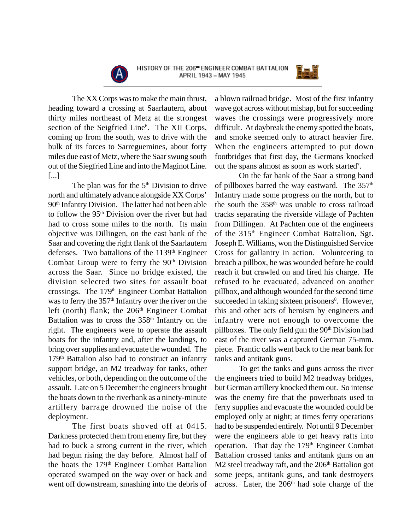



The XX Corps was to make the main thrust, heading toward a crossing at Saarlautern, about thirty miles northeast of Metz at the strongest section of the Seigfried Line<sup>6</sup>. The XII Corps, coming up from the south, was to drive with the bulk of its forces to Sarreguemines, about forty miles due east of Metz, where the Saar swung south out of the Siegfried Line and into the Maginot Line. [...]

The plan was for the  $5<sup>th</sup>$  Division to drive north and ultimately advance alongside XX Corps' 90th Infantry Division. The latter had not been able to follow the  $95<sup>th</sup>$  Division over the river but had had to cross some miles to the north. Its main objective was Dillingen, on the east bank of the Saar and covering the right flank of the Saarlautern defenses. Two battalions of the 1139<sup>th</sup> Engineer Combat Group were to ferry the 90<sup>th</sup> Division across the Saar. Since no bridge existed, the division selected two sites for assault boat crossings. The 179th Engineer Combat Battalion was to ferry the 357<sup>th</sup> Infantry over the river on the left (north) flank; the 206<sup>th</sup> Engineer Combat Battalion was to cross the 358<sup>th</sup> Infantry on the right. The engineers were to operate the assault boats for the infantry and, after the landings, to bring over supplies and evacuate the wounded. The 179<sup>th</sup> Battalion also had to construct an infantry support bridge, an M2 treadway for tanks, other vehicles, or both, depending on the outcome of the assault. Late on 5 December the engineers brought the boats down to the riverbank as a ninety-minute artillery barrage drowned the noise of the deployment.

The first boats shoved off at 0415. Darkness protected them from enemy fire, but they had to buck a strong current in the river, which had begun rising the day before. Almost half of the boats the 179th Engineer Combat Battalion operated swamped on the way over or back and went off downstream, smashing into the debris of

a blown railroad bridge. Most of the first infantry wave got across without mishap, but for succeeding waves the crossings were progressively more difficult. At daybreak the enemy spotted the boats, and smoke seemed only to attract heavier fire. When the engineers attempted to put down footbridges that first day, the Germans knocked out the spans almost as soon as work started<sup>7</sup>.

On the far bank of the Saar a strong band of pillboxes barred the way eastward. The  $357<sup>th</sup>$ Infantry made some progress on the north, but to the south the 358<sup>th</sup> was unable to cross railroad tracks separating the riverside village of Pachten from Dillingen. At Pachten one of the engineers of the 315<sup>th</sup> Engineer Combat Battalion, Sgt. Joseph E. Williams, won the Distinguished Service Cross for gallantry in action. Volunteering to breach a pillbox, he was wounded before he could reach it but crawled on and fired his charge. He refused to be evacuated, advanced on another pillbox, and although wounded for the second time succeeded in taking sixteen prisoners<sup>8</sup>. However, this and other acts of heroism by engineers and infantry were not enough to overcome the pillboxes. The only field gun the 90<sup>th</sup> Division had east of the river was a captured German 75-mm. piece. Frantic calls went back to the near bank for tanks and antitank guns.

To get the tanks and guns across the river the engineers tried to build M2 treadway bridges, but German artillery knocked them out. So intense was the enemy fire that the powerboats used to ferry supplies and evacuate the wounded could be employed only at night; at times ferry operations had to be suspended entirely. Not until 9 December were the engineers able to get heavy rafts into operation. That day the 179<sup>th</sup> Engineer Combat Battalion crossed tanks and antitank guns on an  $M2$  steel treadway raft, and the  $206<sup>th</sup>$  Battalion got some jeeps, antitank guns, and tank destroyers across. Later, the 206<sup>th</sup> had sole charge of the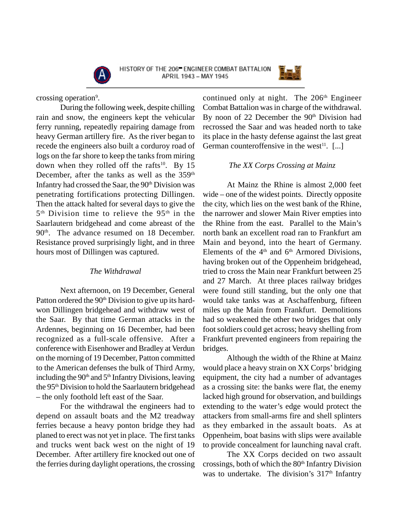



crossing operation<sup>9</sup>.

During the following week, despite chilling rain and snow, the engineers kept the vehicular ferry running, repeatedly repairing damage from heavy German artillery fire. As the river began to recede the engineers also built a corduroy road of logs on the far shore to keep the tanks from miring down when they rolled off the rafts<sup>10</sup>. By 15 December, after the tanks as well as the  $359<sup>th</sup>$ Infantry had crossed the Saar, the 90<sup>th</sup> Division was penetrating fortifications protecting Dillingen. Then the attack halted for several days to give the 5<sup>th</sup> Division time to relieve the 95<sup>th</sup> in the Saarlautern bridgehead and come abreast of the 90<sup>th</sup>. The advance resumed on 18 December. Resistance proved surprisingly light, and in three hours most of Dillingen was captured.

## *The Withdrawal*

Next afternoon, on 19 December, General Patton ordered the 90<sup>th</sup> Division to give up its hardwon Dillingen bridgehead and withdraw west of the Saar. By that time German attacks in the Ardennes, beginning on 16 December, had been recognized as a full-scale offensive. After a conference with Eisenhower and Bradley at Verdun on the morning of 19 December, Patton committed to the American defenses the bulk of Third Army, including the  $90<sup>th</sup>$  and  $5<sup>th</sup>$  Infantry Divisions, leaving the 95<sup>th</sup> Division to hold the Saarlautern bridgehead – the only foothold left east of the Saar.

For the withdrawal the engineers had to depend on assault boats and the M2 treadway ferries because a heavy ponton bridge they had planed to erect was not yet in place. The first tanks and trucks went back west on the night of 19 December. After artillery fire knocked out one of the ferries during daylight operations, the crossing

continued only at night. The 206<sup>th</sup> Engineer Combat Battalion was in charge of the withdrawal. By noon of 22 December the 90<sup>th</sup> Division had recrossed the Saar and was headed north to take its place in the hasty defense against the last great German counteroffensive in the west $^{11}$ . [...]

## *The XX Corps Crossing at Mainz*

At Mainz the Rhine is almost 2,000 feet wide – one of the widest points. Directly opposite the city, which lies on the west bank of the Rhine, the narrower and slower Main River empties into the Rhine from the east. Parallel to the Main's north bank an excellent road ran to Frankfurt am Main and beyond, into the heart of Germany. Elements of the  $4<sup>th</sup>$  and  $6<sup>th</sup>$  Armored Divisions, having broken out of the Oppenheim bridgehead, tried to cross the Main near Frankfurt between 25 and 27 March. At three places railway bridges were found still standing, but the only one that would take tanks was at Aschaffenburg, fifteen miles up the Main from Frankfurt. Demolitions had so weakened the other two bridges that only foot soldiers could get across; heavy shelling from Frankfurt prevented engineers from repairing the bridges.

Although the width of the Rhine at Mainz would place a heavy strain on XX Corps' bridging equipment, the city had a number of advantages as a crossing site: the banks were flat, the enemy lacked high ground for observation, and buildings extending to the water's edge would protect the attackers from small-arms fire and shell splinters as they embarked in the assault boats. As at Oppenheim, boat basins with slips were available to provide concealment for launching naval craft.

The XX Corps decided on two assault crossings, both of which the 80<sup>th</sup> Infantry Division was to undertake. The division's  $317<sup>th</sup>$  Infantry